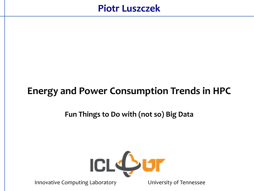### **Piotr Luszczek**

# **Energy and Power Consumption Trends in HPC**

#### **Fun Things to Do with (not so) Big Data**



Innovative Computing Laboratory **Entity Computing Laboratory** University of Tennessee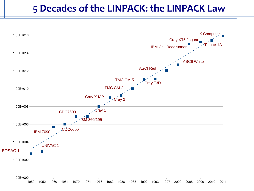#### **5 Decades of the LINPACK: the LINPACK Law**

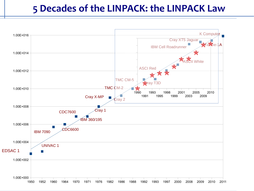#### **5 Decades of the LINPACK: the LINPACK Law**

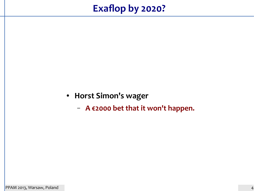# **Exaflop by 2020?**

- **Horst Simon's wager**
	- **A €2000 bet that it won't happen.**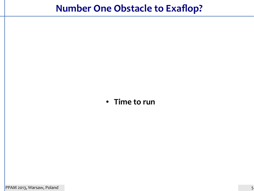# **Number One Obstacle to Exaflop?**

#### ● **Time to run**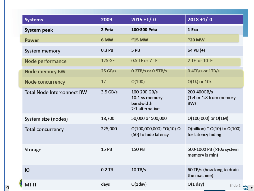| <b>Systems</b>                    | 2009       | $2015 + 1/-0$                                                  | $2018 + 1/-0$                                                     |
|-----------------------------------|------------|----------------------------------------------------------------|-------------------------------------------------------------------|
| System peak                       | 2 Peta     | 100-300 Peta                                                   | 1 Exa                                                             |
| <b>Power</b>                      | 6 MW       | $^{\sim}$ 15 MW                                                | $^{\prime\prime}$ 20 MW                                           |
| System memory                     | 0.3 PB     | 5 PB                                                           | 64 PB $(+)$                                                       |
| Node performance                  | 125 GF     | 0.5 TF or 7 TF                                                 | 2 TF or 10TF                                                      |
| Node memory BW                    | 25 GB/s    | $0.2TB/s$ or $0.5TB/s$                                         | $0.4TB/s$ or $1TB/s$                                              |
| Node concurrency                  | 12         | O(100)                                                         | $O(1k)$ or $10k$                                                  |
| <b>Total Node Interconnect BW</b> | $3.5$ GB/s | 100-200 GB/s<br>10:1 vs memory<br>bandwidth<br>2:1 alternative | 200-400GB/s<br>$(1:4 \text{ or } 1:8 \text{ from memory})$<br>BW) |
| System size (nodes)               | 18,700     | 50,000 or 500,000                                              | O(100,000) or O(1M)                                               |
| <b>Total concurrency</b>          | 225,000    | $O(100,000,000)$ *O(10)-O<br>(50) to hide latency              | O(billion) * O(10) to O(100)<br>for latency hiding                |
| Storage                           | 15 PB      | 150 PB                                                         | 500-1000 PB (>10x system<br>memory is min)                        |
| Ю                                 | $0.2$ TB   | $10$ TB/s                                                      | 60 TB/s (how long to drain<br>the machine)                        |
| <b>MTTI</b>                       | days       | $O(1$ day $)$                                                  | $O(1 \text{ day})$<br>Slide 2 keley 6                             |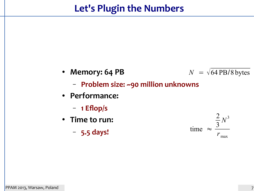- **Memory: 64 PB**  $N = \sqrt{64 \text{ PB}}/8 \text{ bytes}$ 
	- **Problem size: ~90 million unknowns**
- **Performance:**
	- **1 Eflop/s**
- **Time to run:**
	- **5.5 days!**

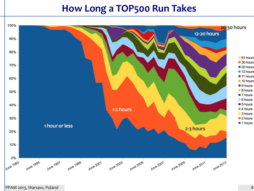### **How Long a TOP500 Run Takes**



PPAM 2013, Warsaw, Poland 8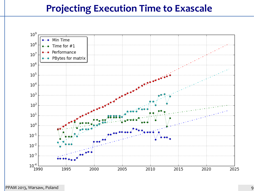## **Projecting Execution Time to Exascale**

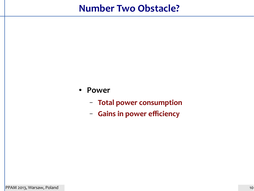## **Number Two Obstacle?**

- **Power**
	- **Total power consumption**
	- **Gains in power efficiency**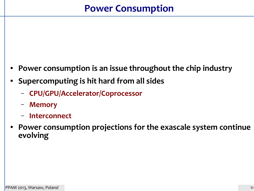# **Power Consumption**

- **Power consumption is an issue throughout the chip industry**
- **Supercomputing is hit hard from all sides**
	- **CPU/GPU/Accelerator/Coprocessor**
	- **Memory**
	- **Interconnect**
- Power consumption projections for the exascale system continue **evolving**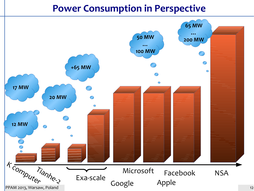## **Power Consumption in Perspective**

![](_page_11_Figure_1.jpeg)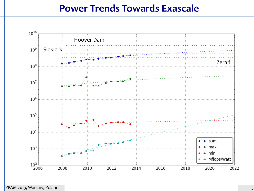#### **Power Trends Towards Exascale**

![](_page_12_Figure_1.jpeg)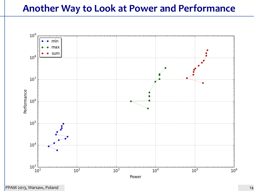### **Another Way to Look at Power and Performance**

![](_page_13_Figure_1.jpeg)

PPAM 2013, Warsaw, Poland 14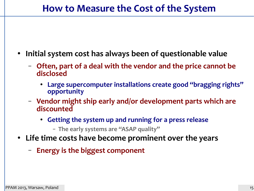- **Initial system cost has always been of questionable value**
	- **Often, part of a deal with the vendor and the price cannot be disclosed**
		- **Large supercomputer installations create good "bragging rights" opportunity**
	- **Vendor might ship early and/or development parts which are discounted**
		- **Getting the system up and running for a press release**
			- **The early systems are "ASAP quality"**
- **Life time costs have become prominent over the years**
	- **Energy is the biggest component**